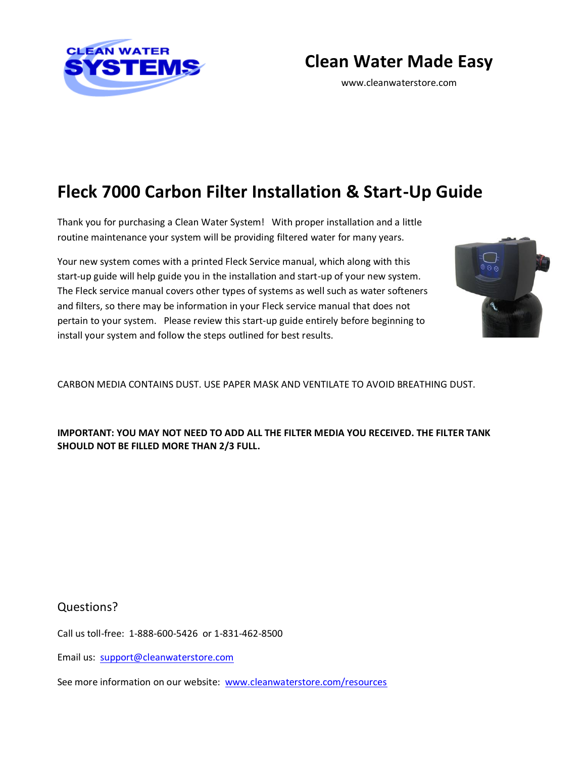

**Clean Water Made Easy**

www.cleanwaterstore.com

# **Fleck 7000 Carbon Filter Installation & Start-Up Guide**

Thank you for purchasing a Clean Water System! With proper installation and a little routine maintenance your system will be providing filtered water for many years.

Your new system comes with a printed Fleck Service manual, which along with this start-up guide will help guide you in the installation and start-up of your new system. The Fleck service manual covers other types of systems as well such as water softeners and filters, so there may be information in your Fleck service manual that does not pertain to your system. Please review this start-up guide entirely before beginning to install your system and follow the steps outlined for best results.



CARBON MEDIA CONTAINS DUST. USE PAPER MASK AND VENTILATE TO AVOID BREATHING DUST.

**IMPORTANT: YOU MAY NOT NEED TO ADD ALL THE FILTER MEDIA YOU RECEIVED. THE FILTER TANK SHOULD NOT BE FILLED MORE THAN 2/3 FULL.**

Questions?

Call us toll-free: 1-888-600-5426 or 1-831-462-8500

Email us: [support@cleanwaterstore.com](mailto:support@cleanwaterstore.com)

See more information on our website: [www.cleanwaterstore.com/resources](http://www.cleanwaterstore.com/resources)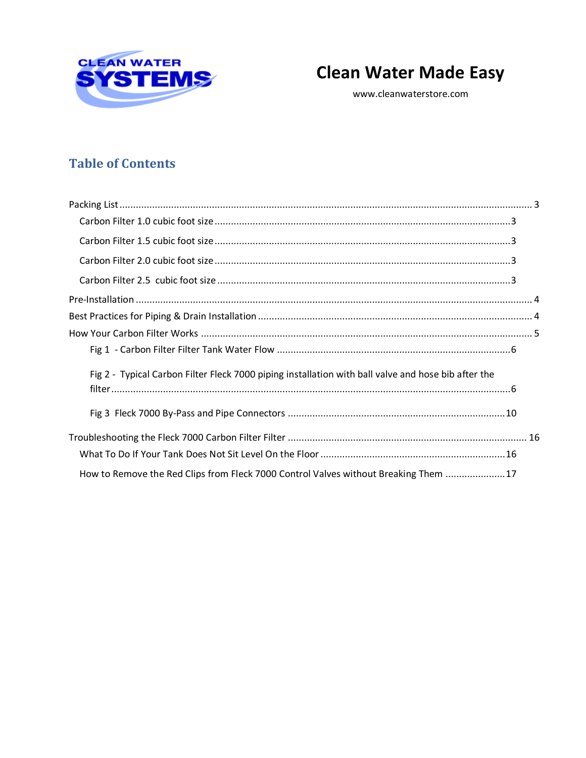

# **Clean Water Made Easy**

www.cleanwaterstore.com

### **Table of Contents**

| Fig 2 - Typical Carbon Filter Fleck 7000 piping installation with ball valve and hose bib after the |  |
|-----------------------------------------------------------------------------------------------------|--|
|                                                                                                     |  |
|                                                                                                     |  |
|                                                                                                     |  |
|                                                                                                     |  |
| How to Remove the Red Clips from Fleck 7000 Control Valves without Breaking Them  17                |  |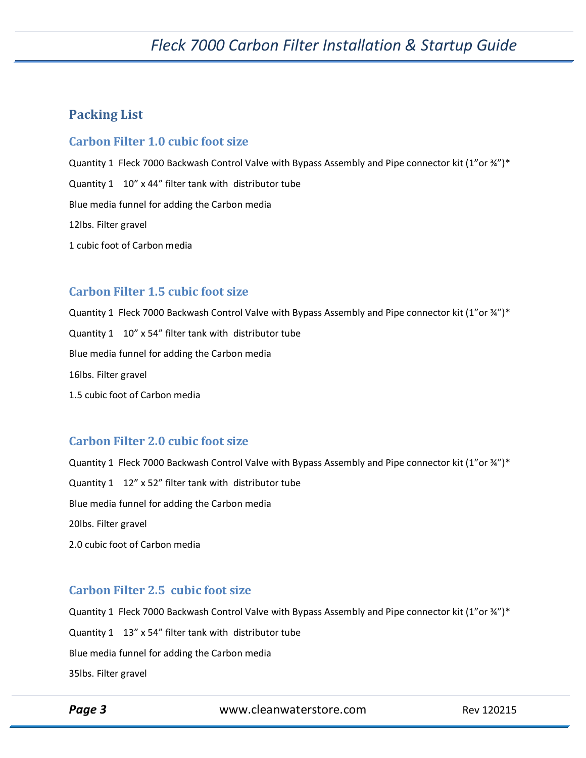#### <span id="page-2-0"></span>**Packing List**

#### <span id="page-2-1"></span>**Carbon Filter 1.0 cubic foot size**

Quantity 1 Fleck 7000 Backwash Control Valve with Bypass Assembly and Pipe connector kit (1"or ¾")\* Quantity 1 10" x 44" filter tank with distributor tube Blue media funnel for adding the Carbon media 12lbs. Filter gravel 1 cubic foot of Carbon media

#### <span id="page-2-2"></span>**Carbon Filter 1.5 cubic foot size**

Quantity 1 Fleck 7000 Backwash Control Valve with Bypass Assembly and Pipe connector kit (1"or ¾")\* Quantity 1 10" x 54" filter tank with distributor tube Blue media funnel for adding the Carbon media 16lbs. Filter gravel 1.5 cubic foot of Carbon media

#### <span id="page-2-3"></span>**Carbon Filter 2.0 cubic foot size**

Quantity 1 Fleck 7000 Backwash Control Valve with Bypass Assembly and Pipe connector kit (1"or 34")\* Quantity 1 12" x 52" filter tank with distributor tube Blue media funnel for adding the Carbon media 20lbs. Filter gravel 2.0 cubic foot of Carbon media

#### <span id="page-2-4"></span>**Carbon Filter 2.5 cubic foot size**

Quantity 1 Fleck 7000 Backwash Control Valve with Bypass Assembly and Pipe connector kit (1"or 34")\* Quantity 1 13" x 54" filter tank with distributor tube Blue media funnel for adding the Carbon media 35lbs. Filter gravel

**Page 3** WWW.cleanwaterstore.com Rev 120215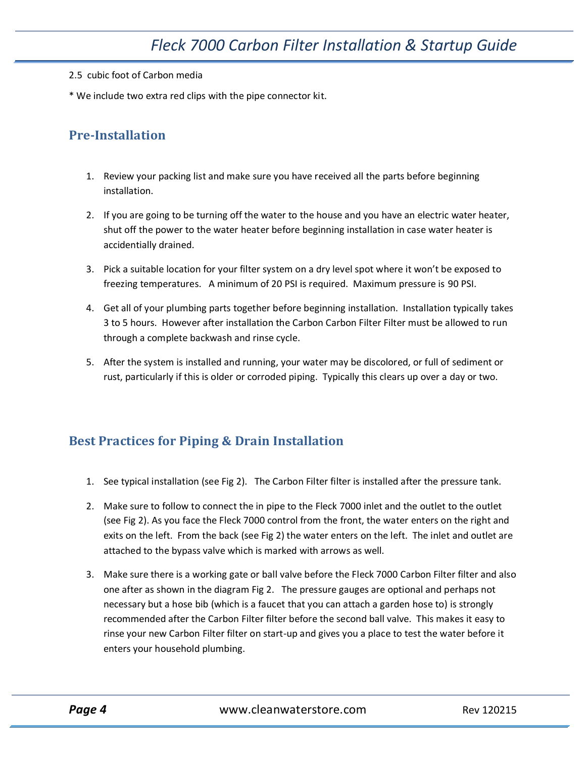- 2.5 cubic foot of Carbon media
- \* We include two extra red clips with the pipe connector kit.

#### <span id="page-3-0"></span>**Pre-Installation**

- 1. Review your packing list and make sure you have received all the parts before beginning installation.
- 2. If you are going to be turning off the water to the house and you have an electric water heater, shut off the power to the water heater before beginning installation in case water heater is accidentially drained.
- 3. Pick a suitable location for your filter system on a dry level spot where it won't be exposed to freezing temperatures. A minimum of 20 PSI is required. Maximum pressure is 90 PSI.
- 4. Get all of your plumbing parts together before beginning installation. Installation typically takes 3 to 5 hours. However after installation the Carbon Carbon Filter Filter must be allowed to run through a complete backwash and rinse cycle.
- 5. After the system is installed and running, your water may be discolored, or full of sediment or rust, particularly if this is older or corroded piping. Typically this clears up over a day or two.

#### <span id="page-3-1"></span>**Best Practices for Piping & Drain Installation**

- 1. See typical installation (see Fig 2). The Carbon Filter filter is installed after the pressure tank.
- 2. Make sure to follow to connect the in pipe to the Fleck 7000 inlet and the outlet to the outlet (see Fig 2). As you face the Fleck 7000 control from the front, the water enters on the right and exits on the left. From the back (see Fig 2) the water enters on the left. The inlet and outlet are attached to the bypass valve which is marked with arrows as well.
- 3. Make sure there is a working gate or ball valve before the Fleck 7000 Carbon Filter filter and also one after as shown in the diagram Fig 2. The pressure gauges are optional and perhaps not necessary but a hose bib (which is a faucet that you can attach a garden hose to) is strongly recommended after the Carbon Filter filter before the second ball valve. This makes it easy to rinse your new Carbon Filter filter on start-up and gives you a place to test the water before it enters your household plumbing.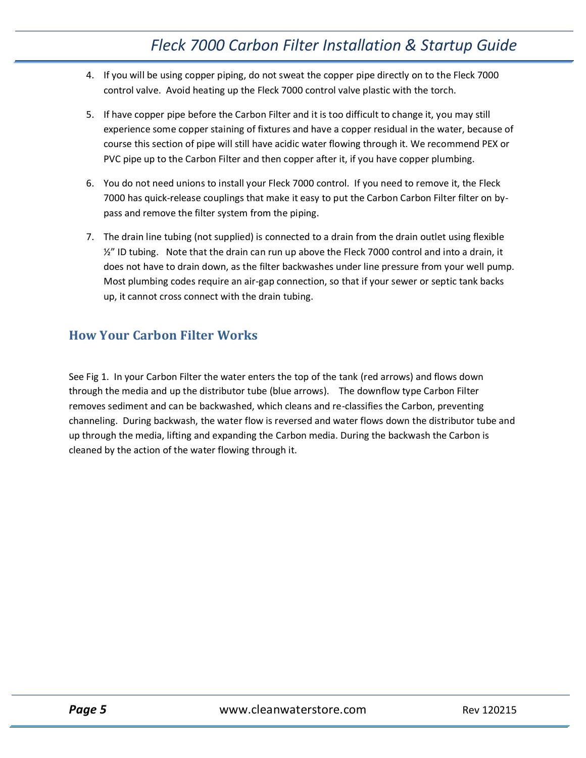- 4. If you will be using copper piping, do not sweat the copper pipe directly on to the Fleck 7000 control valve. Avoid heating up the Fleck 7000 control valve plastic with the torch.
- 5. If have copper pipe before the Carbon Filter and it is too difficult to change it, you may still experience some copper staining of fixtures and have a copper residual in the water, because of course this section of pipe will still have acidic water flowing through it. We recommend PEX or PVC pipe up to the Carbon Filter and then copper after it, if you have copper plumbing.
- 6. You do not need unions to install your Fleck 7000 control. If you need to remove it, the Fleck 7000 has quick-release couplings that make it easy to put the Carbon Carbon Filter filter on bypass and remove the filter system from the piping.
- 7. The drain line tubing (not supplied) is connected to a drain from the drain outlet using flexible ½" ID tubing. Note that the drain can run up above the Fleck 7000 control and into a drain, it does not have to drain down, as the filter backwashes under line pressure from your well pump. Most plumbing codes require an air-gap connection, so that if your sewer or septic tank backs up, it cannot cross connect with the drain tubing.

### <span id="page-4-0"></span>**How Your Carbon Filter Works**

See Fig 1. In your Carbon Filter the water enters the top of the tank (red arrows) and flows down through the media and up the distributor tube (blue arrows). The downflow type Carbon Filter removes sediment and can be backwashed, which cleans and re-classifies the Carbon, preventing channeling. During backwash, the water flow is reversed and water flows down the distributor tube and up through the media, lifting and expanding the Carbon media. During the backwash the Carbon is cleaned by the action of the water flowing through it.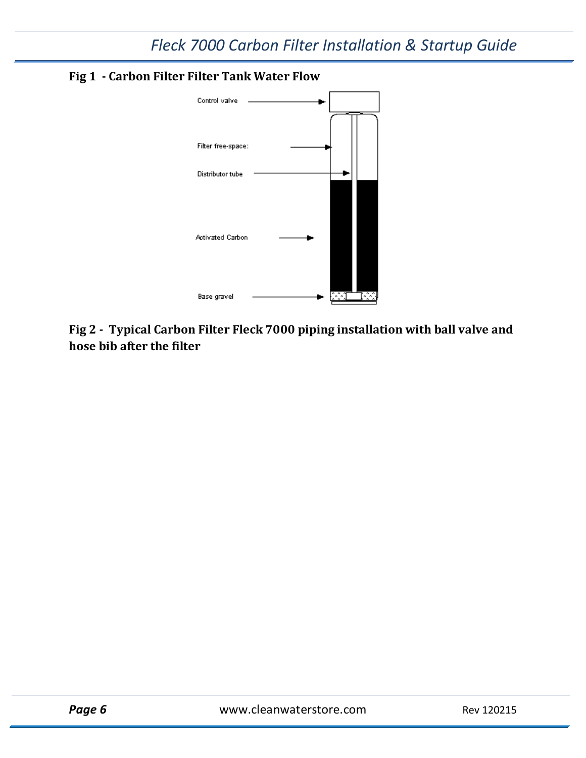<span id="page-5-0"></span>



<span id="page-5-1"></span>**Fig 2 - Typical Carbon Filter Fleck 7000 piping installation with ball valve and hose bib after the filter**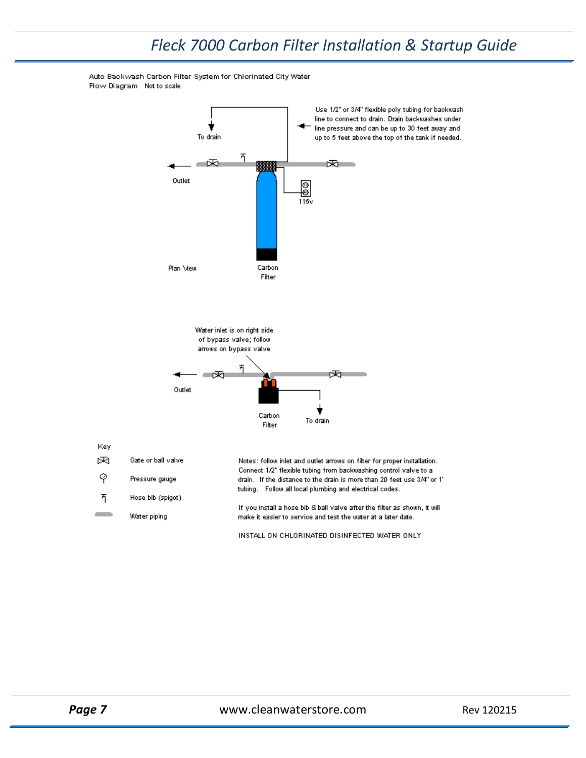

Auto Backwash Carbon Filter System for Chlorinated City Water Flow Diagram Not to scale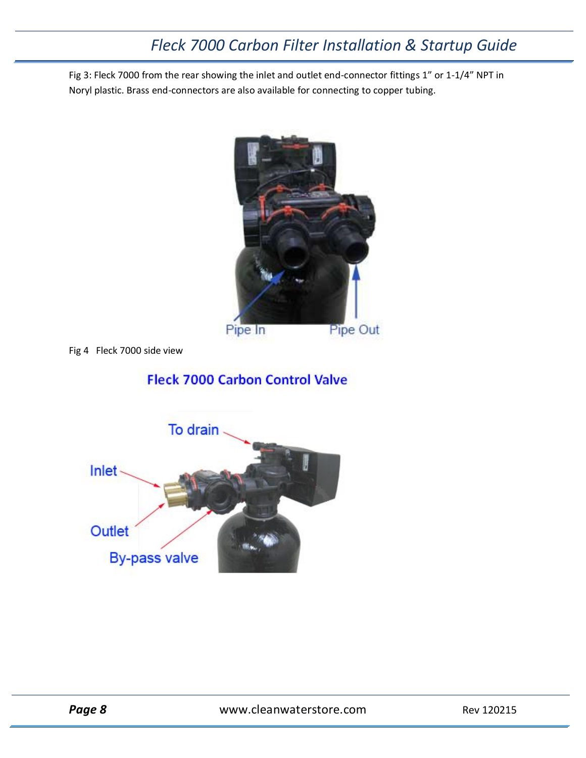Fig 3: Fleck 7000 from the rear showing the inlet and outlet end-connector fittings 1" or 1-1/4" NPT in Noryl plastic. Brass end-connectors are also available for connecting to copper tubing.



Fig 4 Fleck 7000 side view

### **Fleck 7000 Carbon Control Valve**

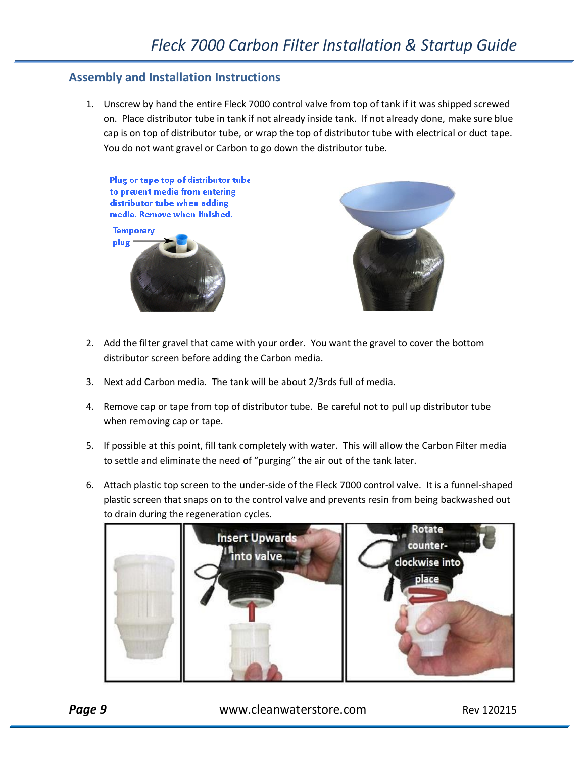#### **Assembly and Installation Instructions**

1. Unscrew by hand the entire Fleck 7000 control valve from top of tank if it was shipped screwed on. Place distributor tube in tank if not already inside tank. If not already done, make sure blue cap is on top of distributor tube, or wrap the top of distributor tube with electrical or duct tape. You do not want gravel or Carbon to go down the distributor tube.

Plug or tape top of distributor tube to prevent media from entering distributor tube when adding media. Remove when finished. **Temporary** 





- 2. Add the filter gravel that came with your order. You want the gravel to cover the bottom distributor screen before adding the Carbon media.
- 3. Next add Carbon media. The tank will be about 2/3rds full of media.
- 4. Remove cap or tape from top of distributor tube. Be careful not to pull up distributor tube when removing cap or tape.
- 5. If possible at this point, fill tank completely with water. This will allow the Carbon Filter media to settle and eliminate the need of "purging" the air out of the tank later.
- 6. Attach plastic top screen to the under-side of the Fleck 7000 control valve. It is a funnel-shaped plastic screen that snaps on to the control valve and prevents resin from being backwashed out to drain during the regeneration cycles.



**Page 9** www.cleanwaterstore.com Rev 120215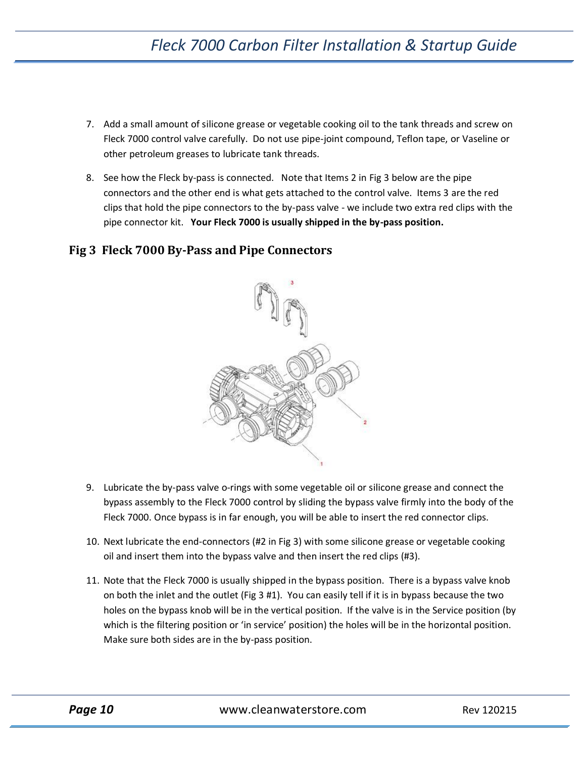- 7. Add a small amount of silicone grease or vegetable cooking oil to the tank threads and screw on Fleck 7000 control valve carefully. Do not use pipe-joint compound, Teflon tape, or Vaseline or other petroleum greases to lubricate tank threads.
- 8. See how the Fleck by-pass is connected. Note that Items 2 in Fig 3 below are the pipe connectors and the other end is what gets attached to the control valve. Items 3 are the red clips that hold the pipe connectors to the by-pass valve - we include two extra red clips with the pipe connector kit. **Your Fleck 7000 is usually shipped in the by-pass position.**

#### <span id="page-9-0"></span>**Fig 3 Fleck 7000 By-Pass and Pipe Connectors**



- 9. Lubricate the by-pass valve o-rings with some vegetable oil or silicone grease and connect the bypass assembly to the Fleck 7000 control by sliding the bypass valve firmly into the body of the Fleck 7000. Once bypass is in far enough, you will be able to insert the red connector clips.
- 10. Next lubricate the end-connectors (#2 in Fig 3) with some silicone grease or vegetable cooking oil and insert them into the bypass valve and then insert the red clips (#3).
- 11. Note that the Fleck 7000 is usually shipped in the bypass position. There is a bypass valve knob on both the inlet and the outlet (Fig 3 #1). You can easily tell if it is in bypass because the two holes on the bypass knob will be in the vertical position. If the valve is in the Service position (by which is the filtering position or 'in service' position) the holes will be in the horizontal position. Make sure both sides are in the by-pass position.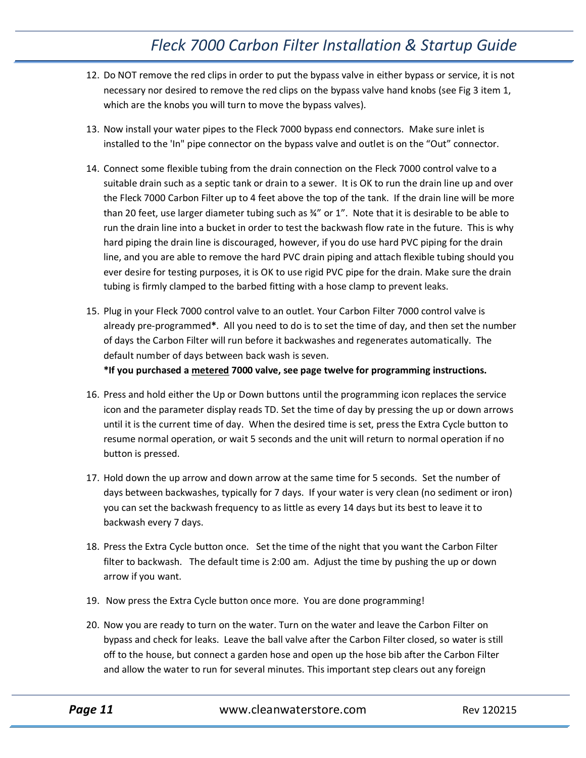- 12. Do NOT remove the red clips in order to put the bypass valve in either bypass or service, it is not necessary nor desired to remove the red clips on the bypass valve hand knobs (see Fig 3 item 1, which are the knobs you will turn to move the bypass valves).
- 13. Now install your water pipes to the Fleck 7000 bypass end connectors. Make sure inlet is installed to the 'In" pipe connector on the bypass valve and outlet is on the "Out" connector.
- 14. Connect some flexible tubing from the drain connection on the Fleck 7000 control valve to a suitable drain such as a septic tank or drain to a sewer. It is OK to run the drain line up and over the Fleck 7000 Carbon Filter up to 4 feet above the top of the tank. If the drain line will be more than 20 feet, use larger diameter tubing such as ¾" or 1". Note that it is desirable to be able to run the drain line into a bucket in order to test the backwash flow rate in the future. This is why hard piping the drain line is discouraged, however, if you do use hard PVC piping for the drain line, and you are able to remove the hard PVC drain piping and attach flexible tubing should you ever desire for testing purposes, it is OK to use rigid PVC pipe for the drain. Make sure the drain tubing is firmly clamped to the barbed fitting with a hose clamp to prevent leaks.
- 15. Plug in your Fleck 7000 control valve to an outlet. Your Carbon Filter 7000 control valve is already pre-programmed**\***. All you need to do is to set the time of day, and then set the number of days the Carbon Filter will run before it backwashes and regenerates automatically. The default number of days between back wash is seven. **\*If you purchased a metered 7000 valve, see page twelve for programming instructions.**
- 16. Press and hold either the Up or Down buttons until the programming icon replaces the service icon and the parameter display reads TD. Set the time of day by pressing the up or down arrows until it is the current time of day. When the desired time is set, press the Extra Cycle button to resume normal operation, or wait 5 seconds and the unit will return to normal operation if no button is pressed.
- 17. Hold down the up arrow and down arrow at the same time for 5 seconds. Set the number of days between backwashes, typically for 7 days. If your water is very clean (no sediment or iron) you can set the backwash frequency to as little as every 14 days but its best to leave it to backwash every 7 days.
- 18. Press the Extra Cycle button once. Set the time of the night that you want the Carbon Filter filter to backwash. The default time is 2:00 am. Adjust the time by pushing the up or down arrow if you want.
- 19. Now press the Extra Cycle button once more. You are done programming!
- 20. Now you are ready to turn on the water. Turn on the water and leave the Carbon Filter on bypass and check for leaks. Leave the ball valve after the Carbon Filter closed, so water is still off to the house, but connect a garden hose and open up the hose bib after the Carbon Filter and allow the water to run for several minutes. This important step clears out any foreign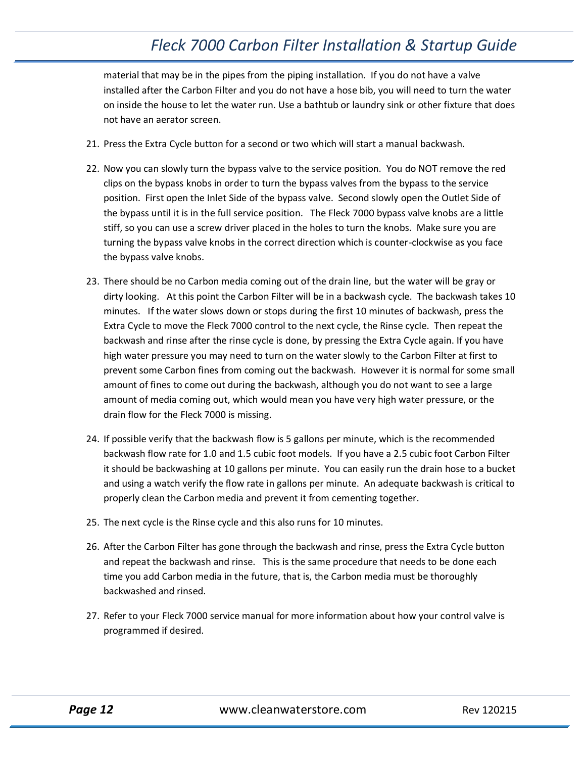material that may be in the pipes from the piping installation. If you do not have a valve installed after the Carbon Filter and you do not have a hose bib, you will need to turn the water on inside the house to let the water run. Use a bathtub or laundry sink or other fixture that does not have an aerator screen.

- 21. Press the Extra Cycle button for a second or two which will start a manual backwash.
- 22. Now you can slowly turn the bypass valve to the service position. You do NOT remove the red clips on the bypass knobs in order to turn the bypass valves from the bypass to the service position. First open the Inlet Side of the bypass valve. Second slowly open the Outlet Side of the bypass until it is in the full service position. The Fleck 7000 bypass valve knobs are a little stiff, so you can use a screw driver placed in the holes to turn the knobs. Make sure you are turning the bypass valve knobs in the correct direction which is counter-clockwise as you face the bypass valve knobs.
- 23. There should be no Carbon media coming out of the drain line, but the water will be gray or dirty looking. At this point the Carbon Filter will be in a backwash cycle. The backwash takes 10 minutes. If the water slows down or stops during the first 10 minutes of backwash, press the Extra Cycle to move the Fleck 7000 control to the next cycle, the Rinse cycle. Then repeat the backwash and rinse after the rinse cycle is done, by pressing the Extra Cycle again. If you have high water pressure you may need to turn on the water slowly to the Carbon Filter at first to prevent some Carbon fines from coming out the backwash. However it is normal for some small amount of fines to come out during the backwash, although you do not want to see a large amount of media coming out, which would mean you have very high water pressure, or the drain flow for the Fleck 7000 is missing.
- 24. If possible verify that the backwash flow is 5 gallons per minute, which is the recommended backwash flow rate for 1.0 and 1.5 cubic foot models. If you have a 2.5 cubic foot Carbon Filter it should be backwashing at 10 gallons per minute. You can easily run the drain hose to a bucket and using a watch verify the flow rate in gallons per minute. An adequate backwash is critical to properly clean the Carbon media and prevent it from cementing together.
- 25. The next cycle is the Rinse cycle and this also runs for 10 minutes.
- 26. After the Carbon Filter has gone through the backwash and rinse, press the Extra Cycle button and repeat the backwash and rinse. This is the same procedure that needs to be done each time you add Carbon media in the future, that is, the Carbon media must be thoroughly backwashed and rinsed.
- 27. Refer to your Fleck 7000 service manual for more information about how your control valve is programmed if desired.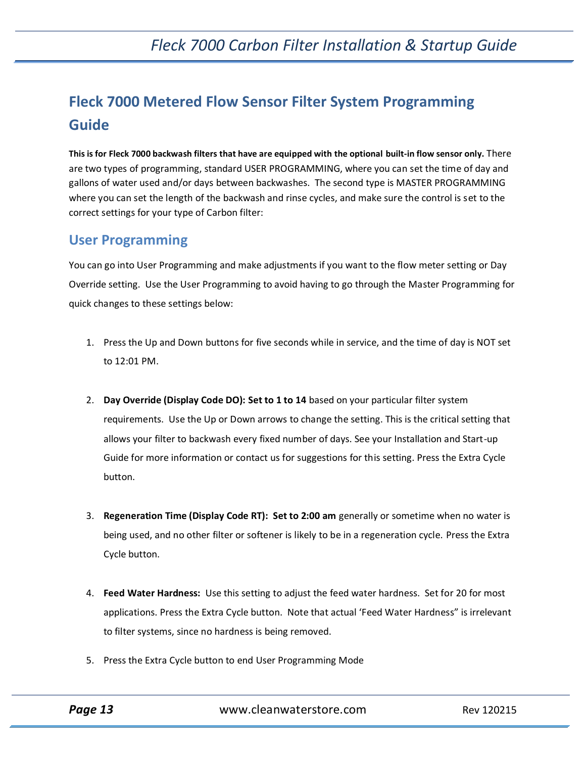# **Fleck 7000 Metered Flow Sensor Filter System Programming Guide**

**This is for Fleck 7000 backwash filters that have are equipped with the optional built-in flow sensor only.** There are two types of programming, standard USER PROGRAMMING, where you can set the time of day and gallons of water used and/or days between backwashes. The second type is MASTER PROGRAMMING where you can set the length of the backwash and rinse cycles, and make sure the control is set to the correct settings for your type of Carbon filter:

### **User Programming**

You can go into User Programming and make adjustments if you want to the flow meter setting or Day Override setting. Use the User Programming to avoid having to go through the Master Programming for quick changes to these settings below:

- 1. Press the Up and Down buttons for five seconds while in service, and the time of day is NOT set to 12:01 PM.
- 2. **Day Override (Display Code DO): Set to 1 to 14** based on your particular filter system requirements. Use the Up or Down arrows to change the setting. This is the critical setting that allows your filter to backwash every fixed number of days. See your Installation and Start-up Guide for more information or contact us for suggestions for this setting. Press the Extra Cycle button.
- 3. **Regeneration Time (Display Code RT): Set to 2:00 am** generally or sometime when no water is being used, and no other filter or softener is likely to be in a regeneration cycle. Press the Extra Cycle button.
- 4. **Feed Water Hardness:** Use this setting to adjust the feed water hardness. Set for 20 for most applications. Press the Extra Cycle button. Note that actual 'Feed Water Hardness" is irrelevant to filter systems, since no hardness is being removed.
- 5. Press the Extra Cycle button to end User Programming Mode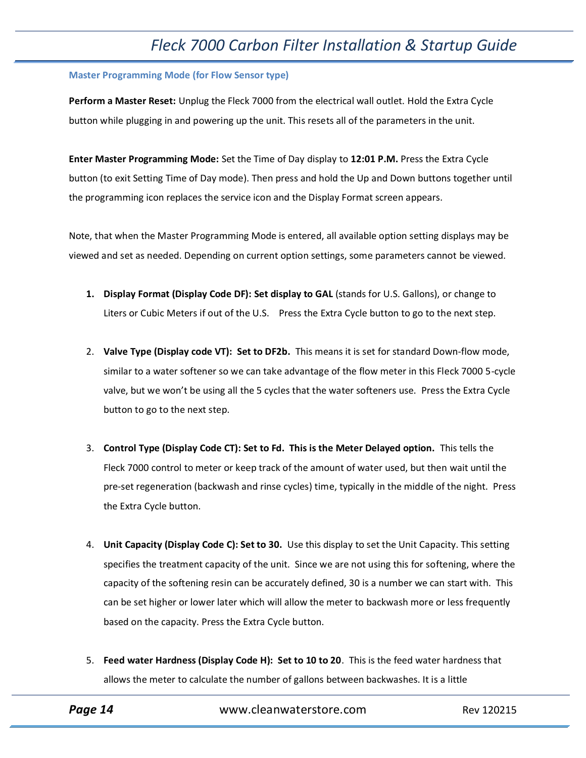#### **Master Programming Mode (for Flow Sensor type)**

**Perform a Master Reset:** Unplug the Fleck 7000 from the electrical wall outlet. Hold the Extra Cycle button while plugging in and powering up the unit. This resets all of the parameters in the unit.

**Enter Master Programming Mode:** Set the Time of Day display to **12:01 P.M.** Press the Extra Cycle button (to exit Setting Time of Day mode). Then press and hold the Up and Down buttons together until the programming icon replaces the service icon and the Display Format screen appears.

Note, that when the Master Programming Mode is entered, all available option setting displays may be viewed and set as needed. Depending on current option settings, some parameters cannot be viewed.

- **1. Display Format (Display Code DF): Set display to GAL** (stands for U.S. Gallons), or change to Liters or Cubic Meters if out of the U.S. Press the Extra Cycle button to go to the next step.
- 2. **Valve Type (Display code VT): Set to DF2b.** This means it is set for standard Down-flow mode, similar to a water softener so we can take advantage of the flow meter in this Fleck 7000 5-cycle valve, but we won't be using all the 5 cycles that the water softeners use. Press the Extra Cycle button to go to the next step.
- 3. **Control Type (Display Code CT): Set to Fd. This is the Meter Delayed option.** This tells the Fleck 7000 control to meter or keep track of the amount of water used, but then wait until the pre-set regeneration (backwash and rinse cycles) time, typically in the middle of the night. Press the Extra Cycle button.
- 4. **Unit Capacity (Display Code C): Set to 30.** Use this display to set the Unit Capacity. This setting specifies the treatment capacity of the unit. Since we are not using this for softening, where the capacity of the softening resin can be accurately defined, 30 is a number we can start with. This can be set higher or lower later which will allow the meter to backwash more or less frequently based on the capacity. Press the Extra Cycle button.
- 5. **Feed water Hardness (Display Code H): Set to 10 to 20**. This is the feed water hardness that allows the meter to calculate the number of gallons between backwashes. It is a little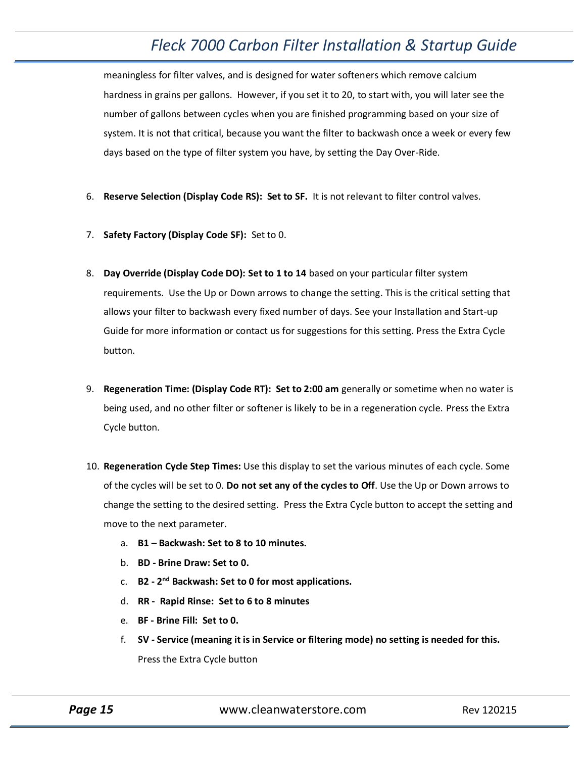meaningless for filter valves, and is designed for water softeners which remove calcium hardness in grains per gallons. However, if you set it to 20, to start with, you will later see the number of gallons between cycles when you are finished programming based on your size of system. It is not that critical, because you want the filter to backwash once a week or every few days based on the type of filter system you have, by setting the Day Over-Ride.

- 6. **Reserve Selection (Display Code RS): Set to SF.** It is not relevant to filter control valves.
- 7. **Safety Factory (Display Code SF):** Set to 0.
- 8. **Day Override (Display Code DO): Set to 1 to 14** based on your particular filter system requirements. Use the Up or Down arrows to change the setting. This is the critical setting that allows your filter to backwash every fixed number of days. See your Installation and Start-up Guide for more information or contact us for suggestions for this setting. Press the Extra Cycle button.
- 9. **Regeneration Time: (Display Code RT): Set to 2:00 am** generally or sometime when no water is being used, and no other filter or softener is likely to be in a regeneration cycle. Press the Extra Cycle button.
- 10. **Regeneration Cycle Step Times:** Use this display to set the various minutes of each cycle. Some of the cycles will be set to 0. **Do not set any of the cycles to Off**. Use the Up or Down arrows to change the setting to the desired setting. Press the Extra Cycle button to accept the setting and move to the next parameter.
	- a. **B1 – Backwash: Set to 8 to 10 minutes.**
	- b. **BD - Brine Draw: Set to 0.**
	- c. **B2 - 2 nd Backwash: Set to 0 for most applications.**
	- d. **RR Rapid Rinse: Set to 6 to 8 minutes**
	- e. **BF - Brine Fill: Set to 0.**
	- f. **SV - Service (meaning it is in Service or filtering mode) no setting is needed for this.**  Press the Extra Cycle button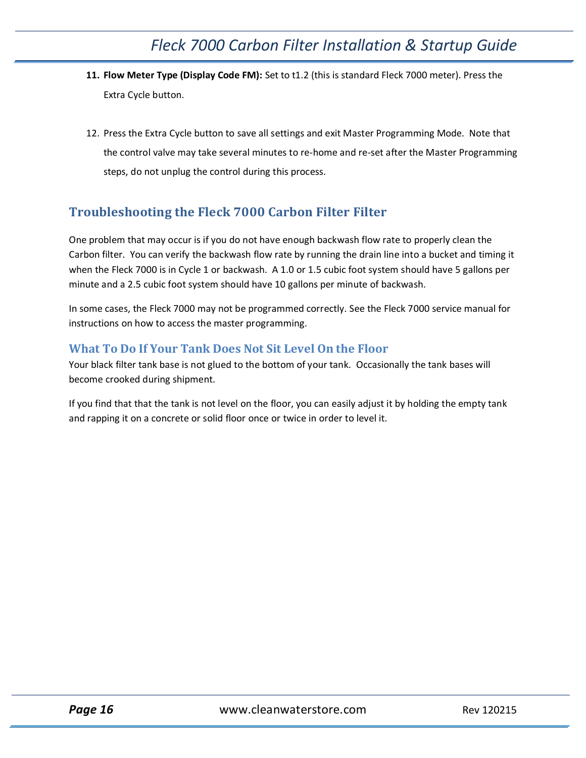- **11. Flow Meter Type (Display Code FM):** Set to t1.2 (this is standard Fleck 7000 meter). Press the Extra Cycle button.
- 12. Press the Extra Cycle button to save all settings and exit Master Programming Mode. Note that the control valve may take several minutes to re-home and re-set after the Master Programming steps, do not unplug the control during this process.

### <span id="page-15-0"></span>**Troubleshooting the Fleck 7000 Carbon Filter Filter**

One problem that may occur is if you do not have enough backwash flow rate to properly clean the Carbon filter. You can verify the backwash flow rate by running the drain line into a bucket and timing it when the Fleck 7000 is in Cycle 1 or backwash. A 1.0 or 1.5 cubic foot system should have 5 gallons per minute and a 2.5 cubic foot system should have 10 gallons per minute of backwash.

In some cases, the Fleck 7000 may not be programmed correctly. See the Fleck 7000 service manual for instructions on how to access the master programming.

#### <span id="page-15-1"></span>**What To Do If Your Tank Does Not Sit Level On the Floor**

Your black filter tank base is not glued to the bottom of your tank. Occasionally the tank bases will become crooked during shipment.

If you find that that the tank is not level on the floor, you can easily adjust it by holding the empty tank and rapping it on a concrete or solid floor once or twice in order to level it.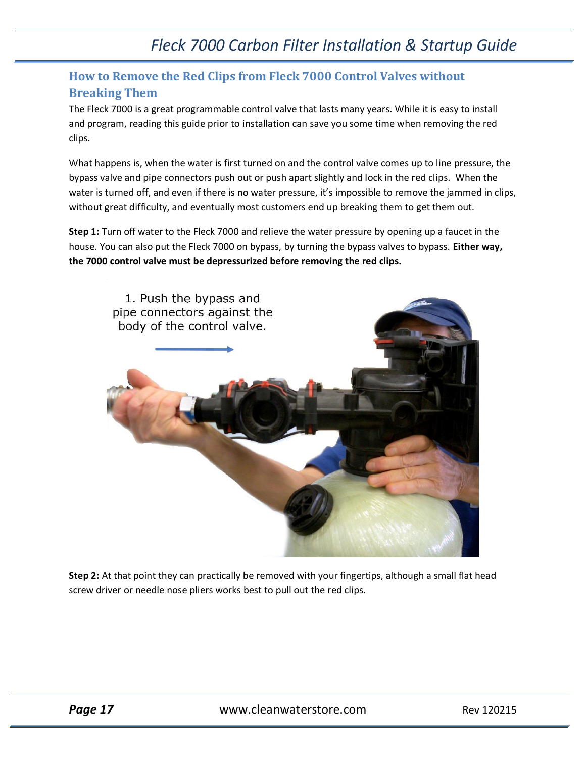### <span id="page-16-0"></span>**How to Remove the Red Clips from Fleck 7000 Control Valves without Breaking Them**

The Fleck 7000 is a great programmable control valve that lasts many years. While it is easy to install and program, reading this guide prior to installation can save you some time when removing the red clips.

What happens is, when the water is first turned on and the control valve comes up to line pressure, the bypass valve and pipe connectors push out or push apart slightly and lock in the red clips. When the water is turned off, and even if there is no water pressure, it's impossible to remove the jammed in clips, without great difficulty, and eventually most customers end up breaking them to get them out.

**Step 1:** Turn off water to the Fleck 7000 and relieve the water pressure by opening up a faucet in the house. You can also put the Fleck 7000 on bypass, by turning the bypass valves to bypass. **Either way, the 7000 control valve must be depressurized before removing the red clips.**



**Step 2:** At that point they can practically be removed with your fingertips, although a small flat head screw driver or needle nose pliers works best to pull out the red clips.